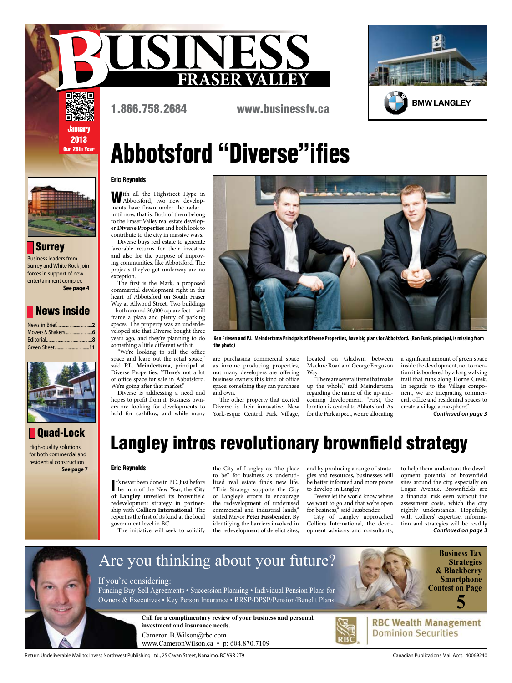



回溯《回 **January** 2013 Our 28th Year

## Abbotsford "Diverse"ifies

1.866.758.2684 www.businessfv.ca

### Eric Reynolds

With all the Highstreet Hype in Abbotsford, two new developments have flown under the radar… until now, that is. Both of them belong to the Fraser Valley real estate developer **Diverse Properties** and both look to contribute to the city in massive ways.

Diverse buys real estate to generate favorable returns for their investors and also for the purpose of improving communities, like Abbotsford. The projects they've got underway are no exception.

The first is the Mark, a proposed commercial development right in the heart of Abbotsford on South Fraser Way at Allwood Street. Two buildings – both around 30,000 square feet – will frame a plaza and plenty of parking spaces. The property was an underdeveloped site that Diverse bought three years ago, and they're planning to do something a little different with it.

"We're looking to sell the office space and lease out the retail space," said **P.L. Meindertsma**, principal at Diverse Properties. "There's not a lot of office space for sale in Abbotsford. We're going after that market."

Diverse is addressing a need and hopes to profit from it. Business owners are looking for developments to hold for cashflow, and while many

**Ken Friesen and P.L. Meindertsma Principals of Diverse Properties, have big plans for Abbotsford. (Ron Funk, principal, is missing from the photo)**

are purchasing commercial space as income producing properties, not many developers are offering business owners this kind of office space: something they can purchase and own.

The other property that excited Diverse is their innovative, New York-esque Central Park Village, located on Gladwin between Maclure Road and George Ferguson Way.

"There are several items that make up the whole," said Meindertsma regarding the name of the up-andcoming development. "First, the location is central to Abbotsford. As for the Park aspect, we are allocating

a significant amount of green space inside the development, not to mention it is bordered by a long walking trail that runs along Horne Creek. In regards to the Village component, we are integrating commercial, office and residential spaces to create a village atmosphere."

**Continued on page 3**

### Langley intros revolutionary brownfield strategy

#### Eric Reynolds

**Quad-Lock** 

High-quality solutions for both commercial and residential construction

 **See page 7**

News inside

Editorial........................................**8**

**See page 4**

**Surrey** Business leaders from Surrey and White Rock join forces in support of new entertainment complex

News in Brief... Movers & Shakers..

Green Sheet.

I's never been done in BC. Just before<br>the turn of the New Year, the City t's never been done in BC. Just before **of Langley** unveiled its brownfield redevelopment strategy in partnership with **Colliers International**. The report is the first of its kind at the local government level in BC.

The initiative will seek to solidify

the City of Langley as "the place to be" for business as underutilized real estate finds new life. "This Strategy supports the City of Langley's efforts to encourage the redevelopment of underused commercial and industrial lands," stated Mayor **Peter Fassbender**. By identifying the barriers involved in the redevelopment of derelict sites,

and by producing a range of strategies and resources, businesses will be better informed and more prone to develop in Langley.

"We've let the world know where we want to go and that we're open for business," said Fassbender.

City of Langley approached Colliers International, the development advisors and consultants,

**Continued on page 3** to help them understant the development potential of brownfield sites around the city, especially on Logan Avenue. Brownfields are a financial risk even without the assessment costs, which the city rightly understands. Hopefully, with Colliers' expertise, information and strategies will be readily